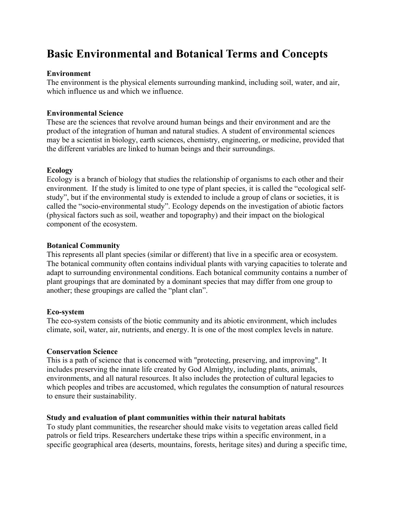# **Basic Environmental and Botanical Terms and Concepts**

## **Environment**

The environment is the physical elements surrounding mankind, including soil, water, and air, which influence us and which we influence.

## **Environmental Science**

These are the sciences that revolve around human beings and their environment and are the product of the integration of human and natural studies. A student of environmental sciences may be a scientist in biology, earth sciences, chemistry, engineering, or medicine, provided that the different variables are linked to human beings and their surroundings.

### **Ecology**

Ecology is a branch of biology that studies the relationship of organisms to each other and their environment. If the study is limited to one type of plant species, it is called the "ecological selfstudy", but if the environmental study is extended to include a group of clans or societies, it is called the "socio-environmental study". Ecology depends on the investigation of abiotic factors (physical factors such as soil, weather and topography) and their impact on the biological component of the ecosystem.

## **Botanical Community**

This represents all plant species (similar or different) that live in a specific area or ecosystem. The botanical community often contains individual plants with varying capacities to tolerate and adapt to surrounding environmental conditions. Each botanical community contains a number of plant groupings that are dominated by a dominant species that may differ from one group to another; these groupings are called the "plant clan".

### **Eco-system**

The eco-system consists of the biotic community and its abiotic environment, which includes climate, soil, water, air, nutrients, and energy. It is one of the most complex levels in nature.

### **Conservation Science**

This is a path of science that is concerned with "protecting, preserving, and improving". It includes preserving the innate life created by God Almighty, including plants, animals, environments, and all natural resources. It also includes the protection of cultural legacies to which peoples and tribes are accustomed, which regulates the consumption of natural resources to ensure their sustainability.

### **Study and evaluation of plant communities within their natural habitats**

To study plant communities, the researcher should make visits to vegetation areas called field patrols or field trips. Researchers undertake these trips within a specific environment, in a specific geographical area (deserts, mountains, forests, heritage sites) and during a specific time,